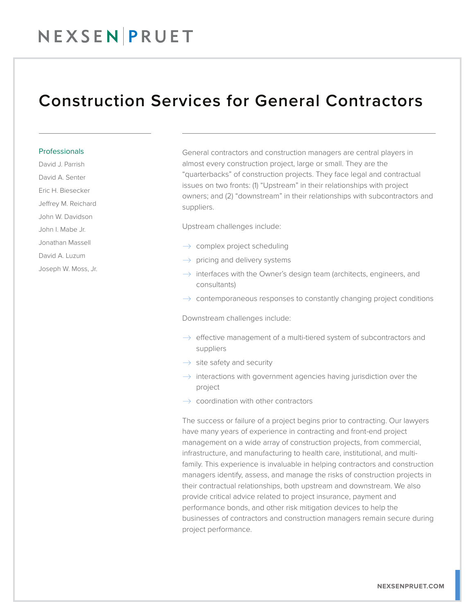## NEXSENPRUET

### Construction Services for General Contractors

#### Professionals

David J. Parrish

David A. Senter

Eric H. Biesecker

Jeffrey M. Reichard

John W. Davidson

John I. Mabe Jr.

Jonathan Massell

David A. Luzum

Joseph W. Moss, Jr.

General contractors and construction managers are central players in almost every construction project, large or small. They are the "quarterbacks" of construction projects. They face legal and contractual issues on two fronts: (1) "Upstream" in their relationships with project owners; and (2) "downstream" in their relationships with subcontractors and suppliers.

Upstream challenges include:

- $\rightarrow$  complex project scheduling
- $\rightarrow$  pricing and delivery systems
- $\rightarrow$  interfaces with the Owner's design team (architects, engineers, and consultants)
- $\rightarrow$  contemporaneous responses to constantly changing project conditions

Downstream challenges include:

- $\rightarrow$  effective management of a multi-tiered system of subcontractors and suppliers
- $\rightarrow$  site safety and security
- $\rightarrow$  interactions with government agencies having jurisdiction over the project
- $\rightarrow$  coordination with other contractors

The success or failure of a project begins prior to contracting. Our lawyers have many years of experience in contracting and front-end project management on a wide array of construction projects, from commercial, infrastructure, and manufacturing to health care, institutional, and multifamily. This experience is invaluable in helping contractors and construction managers identify, assess, and manage the risks of construction projects in their contractual relationships, both upstream and downstream. We also provide critical advice related to project insurance, payment and performance bonds, and other risk mitigation devices to help the businesses of contractors and construction managers remain secure during project performance.